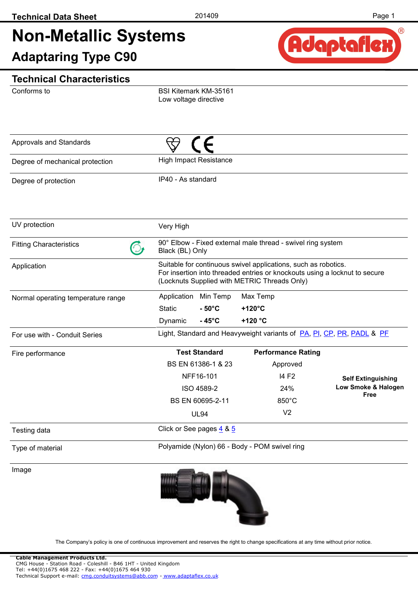# **Non-Metallic Systems**

**Adaptaring Type C90**



#### **Technical Characteristics**

Conforms to

BSI Kitemark KM-35161 Low voltage directive

| Approvals and Standards            |                    |                               |                                                                                                                                                                                              |                             |
|------------------------------------|--------------------|-------------------------------|----------------------------------------------------------------------------------------------------------------------------------------------------------------------------------------------|-----------------------------|
| Degree of mechanical protection    |                    | <b>High Impact Resistance</b> |                                                                                                                                                                                              |                             |
| Degree of protection               | IP40 - As standard |                               |                                                                                                                                                                                              |                             |
| UV protection                      | Very High          |                               |                                                                                                                                                                                              |                             |
| <b>Fitting Characteristics</b>     | Black (BL) Only    |                               | 90° Elbow - Fixed external male thread - swivel ring system                                                                                                                                  |                             |
| Application                        |                    |                               | Suitable for continuous swivel applications, such as robotics.<br>For insertion into threaded entries or knockouts using a locknut to secure<br>(Locknuts Supplied with METRIC Threads Only) |                             |
| Normal operating temperature range | Application        | Min Temp                      | Max Temp                                                                                                                                                                                     |                             |
|                                    | <b>Static</b>      | $-50^{\circ}$ C               | +120°C                                                                                                                                                                                       |                             |
|                                    | Dynamic            | $-45^{\circ}$ C               | +120 °C                                                                                                                                                                                      |                             |
| For use with - Conduit Series      |                    |                               | Light, Standard and Heavyweight variants of PA, PI, CP, PR, PADL & PF                                                                                                                        |                             |
| Fire performance                   |                    | <b>Test Standard</b>          | <b>Performance Rating</b>                                                                                                                                                                    |                             |
|                                    |                    | BS EN 61386-1 & 23            | Approved                                                                                                                                                                                     |                             |
|                                    |                    | NFF16-101                     | 14 F <sub>2</sub>                                                                                                                                                                            | <b>Self Extinguishing</b>   |
|                                    |                    | ISO 4589-2                    | 24%                                                                                                                                                                                          | Low Smoke & Halogen<br>Free |
|                                    |                    | BS EN 60695-2-11              | $850^{\circ}$ C                                                                                                                                                                              |                             |
|                                    |                    | <b>UL94</b>                   | V <sub>2</sub>                                                                                                                                                                               |                             |
| Testing data                       |                    | Click or See pages 4 & 5      |                                                                                                                                                                                              |                             |
| Type of material                   |                    |                               | Polyamide (Nylon) 66 - Body - POM swivel ring                                                                                                                                                |                             |
| Image                              |                    |                               |                                                                                                                                                                                              |                             |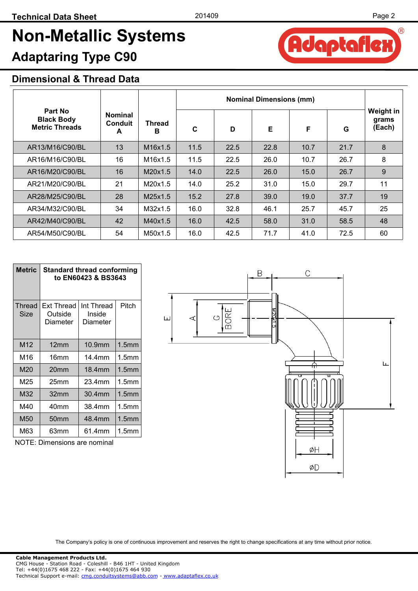Adaptaflex

 $(R)$ 

## **Non-Metallic Systems**

### **Adaptaring Type C90**

#### **Dimensional & Thread Data**

|                                                       |                                       |                    | <b>Nominal Dimensions (mm)</b> |      |      |      |      |                                     |
|-------------------------------------------------------|---------------------------------------|--------------------|--------------------------------|------|------|------|------|-------------------------------------|
| Part No<br><b>Black Body</b><br><b>Metric Threads</b> | <b>Nominal</b><br><b>Conduit</b><br>A | <b>Thread</b><br>В | C                              | D    | Е    | F    | G    | <b>Weight in</b><br>grams<br>(Each) |
| AR13/M16/C90/BL                                       | 13                                    | M16x1.5            | 11.5                           | 22.5 | 22.8 | 10.7 | 21.7 | 8                                   |
| AR16/M16/C90/BL                                       | 16                                    | M16x1.5            | 11.5                           | 22.5 | 26.0 | 10.7 | 26.7 | 8                                   |
| AR16/M20/C90/BL                                       | 16                                    | M20x1.5            | 14.0                           | 22.5 | 26.0 | 15.0 | 26.7 | 9                                   |
| AR21/M20/C90/BL                                       | 21                                    | M20x1.5            | 14.0                           | 25.2 | 31.0 | 15.0 | 29.7 | 11                                  |
| AR28/M25/C90/BL                                       | 28                                    | M25x1.5            | 15.2                           | 27.8 | 39.0 | 19.0 | 37.7 | 19                                  |
| AR34/M32/C90/BL                                       | 34                                    | M32x1.5            | 16.0                           | 32.8 | 46.1 | 25.7 | 45.7 | 25                                  |
| AR42/M40/C90/BL                                       | 42                                    | M40x1.5            | 16.0                           | 42.5 | 58.0 | 31.0 | 58.5 | 48                                  |
| AR54/M50/C90/BL                                       | 54                                    | M50x1.5            | 16.0                           | 42.5 | 71.7 | 41.0 | 72.5 | 60                                  |

| <b>Metric</b>  | <b>Standard thread conforming</b><br>to EN60423 & BS3643 |                                  |                   |  |  |  |
|----------------|----------------------------------------------------------|----------------------------------|-------------------|--|--|--|
| Thread<br>Size | Ext Thread<br>Outside<br>Diameter                        | Int Thread<br>Inside<br>Diameter | Pitch             |  |  |  |
| M12            | 12 <sub>mm</sub>                                         | 10.9mm                           | 1.5 <sub>mm</sub> |  |  |  |
| M16            | 16mm                                                     | 14.4mm                           | 1.5 <sub>mm</sub> |  |  |  |
| M20            | 20 <sub>mm</sub>                                         | 18.4mm                           | 1.5 <sub>mm</sub> |  |  |  |
| M25            | 25 <sub>mm</sub>                                         | 23.4mm                           | 1.5 <sub>mm</sub> |  |  |  |
| M32            | 32mm                                                     | 30.4mm                           | 1.5 <sub>mm</sub> |  |  |  |
| M40            | 40mm                                                     | 38.4mm                           | 1.5mm             |  |  |  |
| M50            | 50mm                                                     | 48.4mm                           | 1.5 <sub>mm</sub> |  |  |  |
| M63            | 63mm                                                     | 61.4mm                           | 1.5mm             |  |  |  |

NOTE: Dimensions are nominal

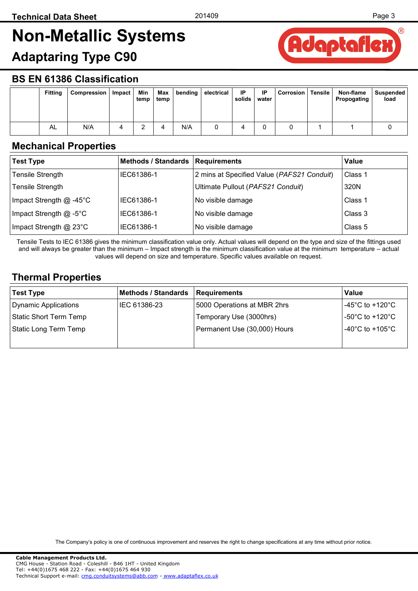## <span id="page-2-0"></span>**Non-Metallic Systems**

### **Adaptaring Type C90**



#### **BS EN 61386 Classification**

| <b>Fitting</b> | Compression | Impact | Min<br>temp | Max<br>temp | bending | electrical | IP<br>solids | ΙP<br>water | <b>Corrosion</b> | Tensile | Non-flame<br>Propogating | Suspended<br>load |
|----------------|-------------|--------|-------------|-------------|---------|------------|--------------|-------------|------------------|---------|--------------------------|-------------------|
| AL             | N/A         |        |             |             | N/A     |            |              |             |                  |         |                          |                   |

#### **Mechanical Properties**

| <b>Test Type</b>                | Methods / Standards   Requirements |                                            | Value   |
|---------------------------------|------------------------------------|--------------------------------------------|---------|
| <b>Tensile Strength</b>         | IEC61386-1                         | 2 mins at Specified Value (PAFS21 Conduit) | Class 1 |
| <b>Tensile Strength</b>         |                                    | Ultimate Pullout (PAFS21 Conduit)          | 320N    |
| Impact Strength $@ -45^\circ C$ | IEC61386-1                         | No visible damage                          | Class 1 |
| Impact Strength $@ -5$ °C       | IEC61386-1                         | No visible damage                          | Class 3 |
| Impact Strength $@$ 23 $°C$     | IEC61386-1                         | No visible damage                          | Class 5 |

Tensile Tests to IEC 61386 gives the minimum classification value only. Actual values will depend on the type and size of the fittings used and will always be greater than the minimum – Impact strength is the minimum classification value at the minimum temperature – actual values will depend on size and temperature. Specific values available on request.

#### **Thermal Properties**

| <b>Test Type</b>       | <b>Methods / Standards</b> | Requirements                 | Value                                 |
|------------------------|----------------------------|------------------------------|---------------------------------------|
| Dynamic Applications   | IEC 61386-23               | 5000 Operations at MBR 2hrs  | -45°C to +120°C                       |
| Static Short Term Temp |                            | Temporary Use (3000hrs)      | -50 $^{\circ}$ C to +120 $^{\circ}$ C |
| Static Long Term Temp  |                            | Permanent Use (30,000) Hours | -40 $^{\circ}$ C to +105 $^{\circ}$ C |
|                        |                            |                              |                                       |